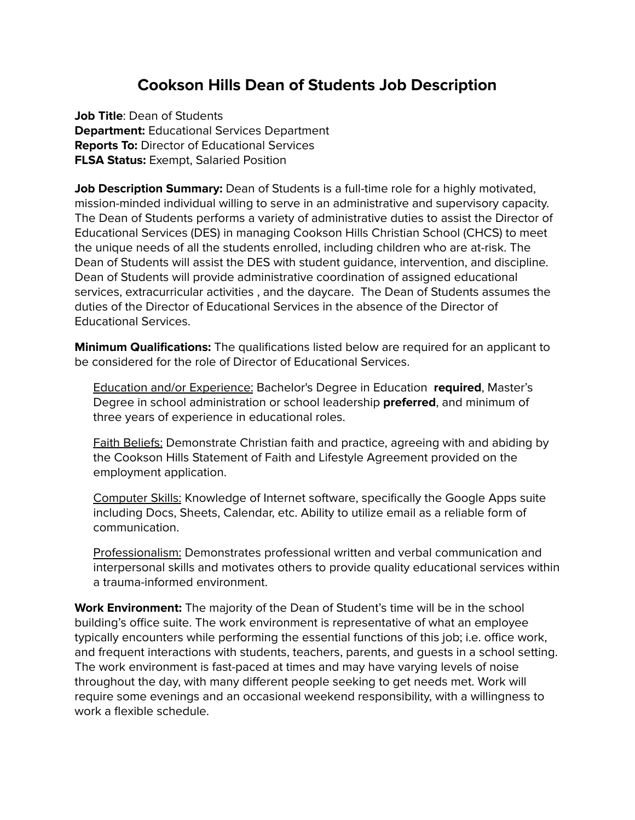## **Cookson Hills Dean of Students Job Description**

**Job Title**: Dean of Students **Department:** Educational Services Department **Reports To:** Director of Educational Services **FLSA Status:** Exempt, Salaried Position

**Job Description Summary:** Dean of Students is a full-time role for a highly motivated, mission-minded individual willing to serve in an administrative and supervisory capacity. The Dean of Students performs a variety of administrative duties to assist the Director of Educational Services (DES) in managing Cookson Hills Christian School (CHCS) to meet the unique needs of all the students enrolled, including children who are at-risk. The Dean of Students will assist the DES with student guidance, intervention, and discipline. Dean of Students will provide administrative coordination of assigned educational services, extracurricular activities , and the daycare. The Dean of Students assumes the duties of the Director of Educational Services in the absence of the Director of Educational Services.

**Minimum Qualifications:** The qualifications listed below are required for an applicant to be considered for the role of Director of Educational Services.

Education and/or Experience: Bachelor's Degree in Education **required**, Master's Degree in school administration or school leadership **preferred**, and minimum of three years of experience in educational roles.

Faith Beliefs: Demonstrate Christian faith and practice, agreeing with and abiding by the Cookson Hills Statement of Faith and Lifestyle Agreement provided on the employment application.

Computer Skills: Knowledge of Internet software, specifically the Google Apps suite including Docs, Sheets, Calendar, etc. Ability to utilize email as a reliable form of communication.

Professionalism: Demonstrates professional written and verbal communication and interpersonal skills and motivates others to provide quality educational services within a trauma-informed environment.

**Work Environment:** The majority of the Dean of Student's time will be in the school building's office suite. The work environment is representative of what an employee typically encounters while performing the essential functions of this job; i.e. office work, and frequent interactions with students, teachers, parents, and guests in a school setting. The work environment is fast-paced at times and may have varying levels of noise throughout the day, with many different people seeking to get needs met. Work will require some evenings and an occasional weekend responsibility, with a willingness to work a flexible schedule.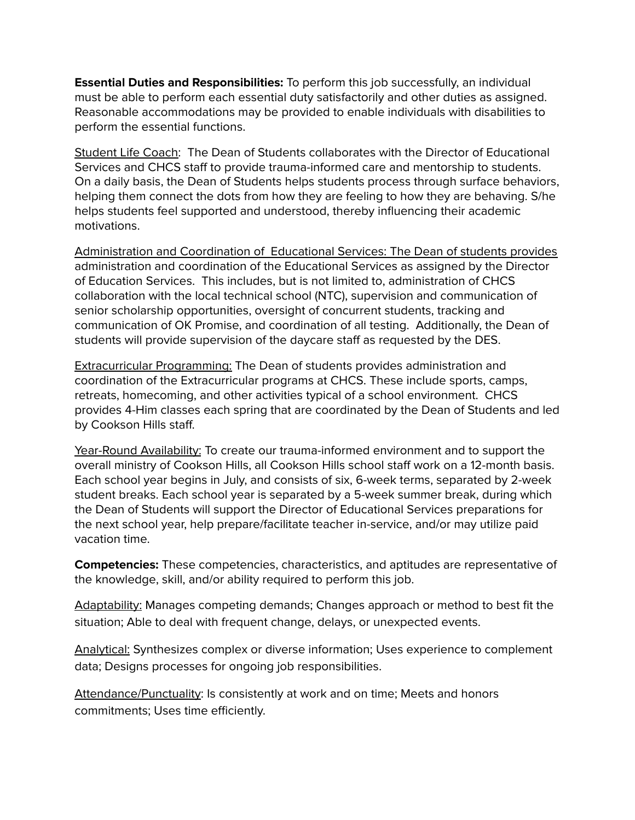**Essential Duties and Responsibilities:** To perform this job successfully, an individual must be able to perform each essential duty satisfactorily and other duties as assigned. Reasonable accommodations may be provided to enable individuals with disabilities to perform the essential functions.

Student Life Coach: The Dean of Students collaborates with the Director of Educational Services and CHCS staff to provide trauma-informed care and mentorship to students. On a daily basis, the Dean of Students helps students process through surface behaviors, helping them connect the dots from how they are feeling to how they are behaving. S/he helps students feel supported and understood, thereby influencing their academic motivations.

Administration and Coordination of Educational Services: The Dean of students provides administration and coordination of the Educational Services as assigned by the Director of Education Services. This includes, but is not limited to, administration of CHCS collaboration with the local technical school (NTC), supervision and communication of senior scholarship opportunities, oversight of concurrent students, tracking and communication of OK Promise, and coordination of all testing. Additionally, the Dean of students will provide supervision of the daycare staff as requested by the DES.

Extracurricular Programming: The Dean of students provides administration and coordination of the Extracurricular programs at CHCS. These include sports, camps, retreats, homecoming, and other activities typical of a school environment. CHCS provides 4-Him classes each spring that are coordinated by the Dean of Students and led by Cookson Hills staff.

Year-Round Availability: To create our trauma-informed environment and to support the overall ministry of Cookson Hills, all Cookson Hills school staff work on a 12-month basis. Each school year begins in July, and consists of six, 6-week terms, separated by 2-week student breaks. Each school year is separated by a 5-week summer break, during which the Dean of Students will support the Director of Educational Services preparations for the next school year, help prepare/facilitate teacher in-service, and/or may utilize paid vacation time.

**Competencies:** These competencies, characteristics, and aptitudes are representative of the knowledge, skill, and/or ability required to perform this job.

Adaptability: Manages competing demands; Changes approach or method to best fit the situation; Able to deal with frequent change, delays, or unexpected events.

Analytical: Synthesizes complex or diverse information; Uses experience to complement data; Designs processes for ongoing job responsibilities.

Attendance/Punctuality: Is consistently at work and on time; Meets and honors commitments; Uses time efficiently.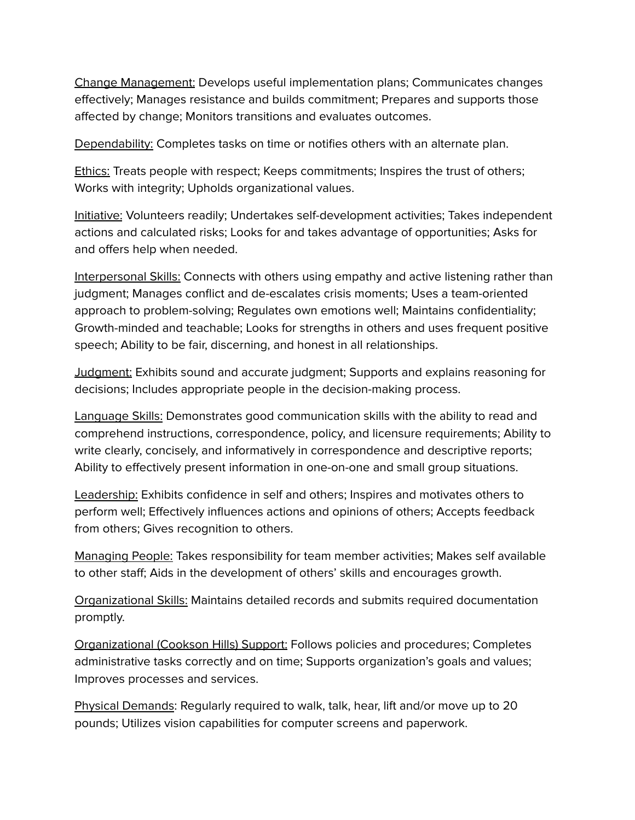Change Management: Develops useful implementation plans; Communicates changes effectively; Manages resistance and builds commitment; Prepares and supports those affected by change; Monitors transitions and evaluates outcomes.

Dependability: Completes tasks on time or notifies others with an alternate plan.

Ethics: Treats people with respect; Keeps commitments; Inspires the trust of others; Works with integrity; Upholds organizational values.

Initiative: Volunteers readily; Undertakes self-development activities; Takes independent actions and calculated risks; Looks for and takes advantage of opportunities; Asks for and offers help when needed.

Interpersonal Skills: Connects with others using empathy and active listening rather than judgment; Manages conflict and de-escalates crisis moments; Uses a team-oriented approach to problem-solving; Regulates own emotions well; Maintains confidentiality; Growth-minded and teachable; Looks for strengths in others and uses frequent positive speech; Ability to be fair, discerning, and honest in all relationships.

Judgment: Exhibits sound and accurate judgment; Supports and explains reasoning for decisions; Includes appropriate people in the decision-making process.

Language Skills: Demonstrates good communication skills with the ability to read and comprehend instructions, correspondence, policy, and licensure requirements; Ability to write clearly, concisely, and informatively in correspondence and descriptive reports; Ability to effectively present information in one-on-one and small group situations.

Leadership: Exhibits confidence in self and others; Inspires and motivates others to perform well; Effectively influences actions and opinions of others; Accepts feedback from others; Gives recognition to others.

Managing People: Takes responsibility for team member activities; Makes self available to other staff; Aids in the development of others' skills and encourages growth.

Organizational Skills: Maintains detailed records and submits required documentation promptly.

Organizational (Cookson Hills) Support: Follows policies and procedures; Completes administrative tasks correctly and on time; Supports organization's goals and values; Improves processes and services.

Physical Demands: Regularly required to walk, talk, hear, lift and/or move up to 20 pounds; Utilizes vision capabilities for computer screens and paperwork.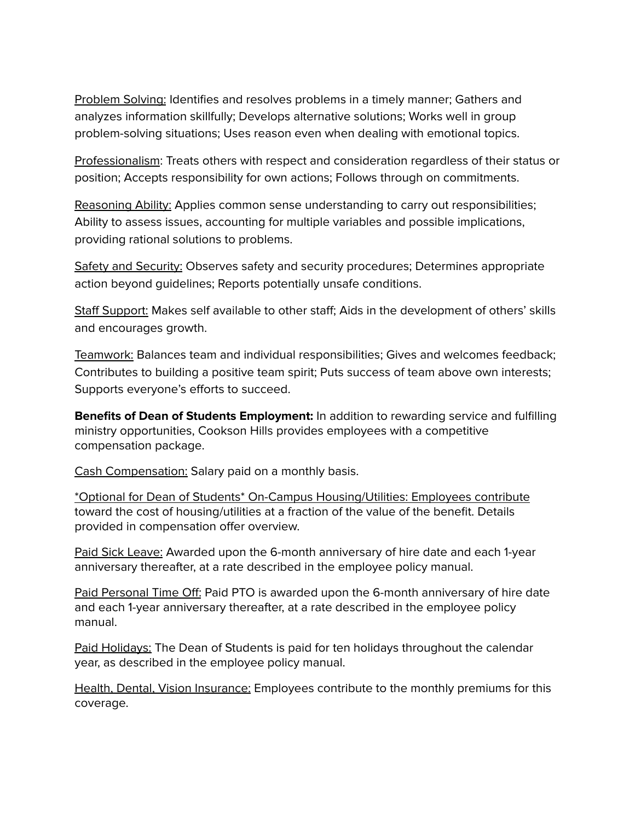Problem Solving: Identifies and resolves problems in a timely manner; Gathers and analyzes information skillfully; Develops alternative solutions; Works well in group problem-solving situations; Uses reason even when dealing with emotional topics.

Professionalism: Treats others with respect and consideration regardless of their status or position; Accepts responsibility for own actions; Follows through on commitments.

Reasoning Ability: Applies common sense understanding to carry out responsibilities; Ability to assess issues, accounting for multiple variables and possible implications, providing rational solutions to problems.

Safety and Security: Observes safety and security procedures; Determines appropriate action beyond guidelines; Reports potentially unsafe conditions.

Staff Support: Makes self available to other staff; Aids in the development of others' skills and encourages growth.

Teamwork: Balances team and individual responsibilities; Gives and welcomes feedback; Contributes to building a positive team spirit; Puts success of team above own interests; Supports everyone's efforts to succeed.

**Benefits of Dean of Students Employment:** In addition to rewarding service and fulfilling ministry opportunities, Cookson Hills provides employees with a competitive compensation package.

Cash Compensation: Salary paid on a monthly basis.

\*Optional for Dean of Students\* On-Campus Housing/Utilities: Employees contribute toward the cost of housing/utilities at a fraction of the value of the benefit. Details provided in compensation offer overview.

Paid Sick Leave: Awarded upon the 6-month anniversary of hire date and each 1-year anniversary thereafter, at a rate described in the employee policy manual.

Paid Personal Time Off: Paid PTO is awarded upon the 6-month anniversary of hire date and each 1-year anniversary thereafter, at a rate described in the employee policy manual.

Paid Holidays: The Dean of Students is paid for ten holidays throughout the calendar year, as described in the employee policy manual.

Health, Dental, Vision Insurance: Employees contribute to the monthly premiums for this coverage.